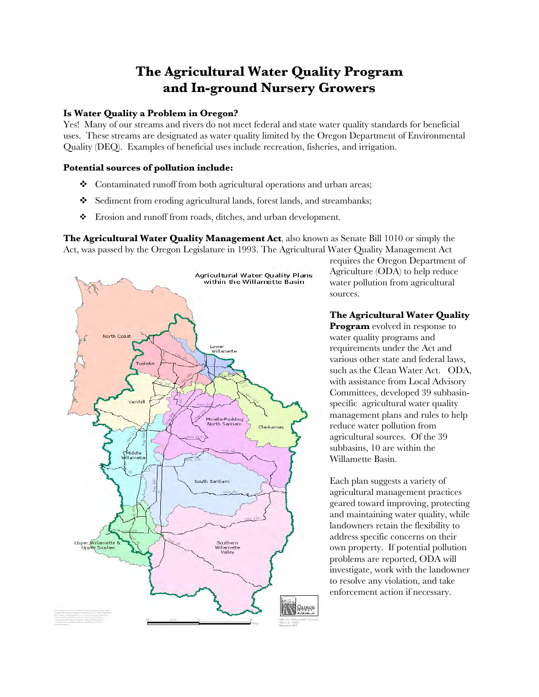# **The Agricultural Water Quality Program and In-ground Nursery Growers**

# **Is Water Quality a Problem in Oregon?**

Yes! Many of our streams and rivers do not meet federal and state water quality standards for beneficial uses. These streams are designated as water quality limited by the Oregon Department of Environmental Quality (DEQ). Examples of beneficial uses include recreation, fisheries, and irrigation.

# **Potential sources of pollution include:**

- ◆ Contaminated runoff from both agricultural operations and urban areas;
- Sediment from eroding agricultural lands, forest lands, and streambanks;
- Erosion and runoff from roads, ditches, and urban development.

**The Agricultural Water Quality Management Act**, also known as Senate Bill 1010 or simply the Act, was passed by the Oregon Legislature in 1993. The Agricultural Water Quality Management Act



requires the Oregon Department of Agriculture (ODA) to help reduce water pollution from agricultural sources.

## **The Agricultural Water Quality**

**Program** evolved in response to water quality programs and requirements under the Act and various other state and federal laws, such as the Clean Water Act. ODA, with assistance from Local Advisory Committees, developed 39 subbasinspecific agricultural water quality management plans and rules to help reduce water pollution from agricultural sources. Of the 39 subbasins, 10 are within the Willamette Basin.

Each plan suggests a variety of agricultural management practices geared toward improving, protecting and maintaining water quality, while landowners retain the flexibility to address specific concerns on their own property. If potential pollution problems are reported, ODA will investigate, work with the landowner to resolve any violation, and take enforcement action if necessary.